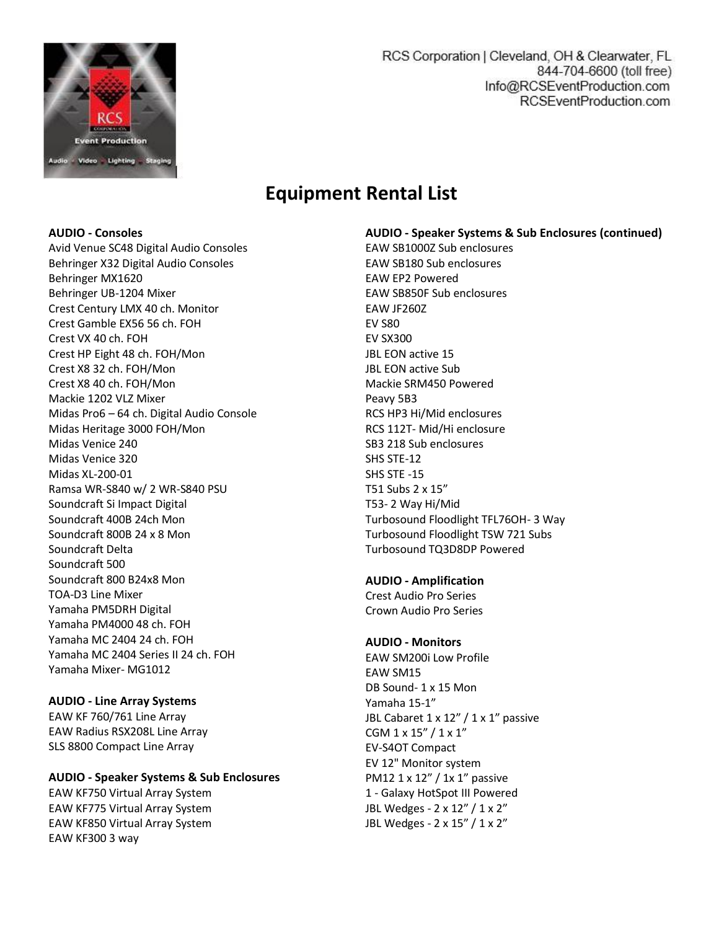

# **Equipment Rental List**

#### **AUDIO - Consoles**

Avid Venue SC48 Digital Audio Consoles Behringer X32 Digital Audio Consoles Behringer MX1620 Behringer UB-1204 Mixer Crest Century LMX 40 ch. Monitor Crest Gamble EX56 56 ch. FOH Crest VX 40 ch. FOH Crest HP Eight 48 ch. FOH/Mon Crest X8 32 ch. FOH/Mon Crest X8 40 ch. FOH/Mon Mackie 1202 VLZ Mixer Midas Pro6 – 64 ch. Digital Audio Console Midas Heritage 3000 FOH/Mon Midas Venice 240 Midas Venice 320 Midas XL-200-01 Ramsa WR-S840 w/ 2 WR-S840 PSU Soundcraft Si Impact Digital Soundcraft 400B 24ch Mon Soundcraft 800B 24 x 8 Mon Soundcraft Delta Soundcraft 500 Soundcraft 800 B24x8 Mon TOA-D3 Line Mixer Yamaha PM5DRH Digital Yamaha PM4000 48 ch. FOH Yamaha MC 2404 24 ch. FOH Yamaha MC 2404 Series II 24 ch. FOH Yamaha Mixer- MG1012

### **AUDIO - Line Array Systems**

EAW KF 760/761 Line Array EAW Radius RSX208L Line Array SLS 8800 Compact Line Array

# **AUDIO - Speaker Systems & Sub Enclosures** EAW KF750 Virtual Array System EAW KF775 Virtual Array System

EAW KF850 Virtual Array System EAW KF300 3 way

# **AUDIO - Speaker Systems & Sub Enclosures (continued)**

EAW SB1000Z Sub enclosures EAW SB180 Sub enclosures EAW EP2 Powered EAW SB850F Sub enclosures EAW JF260Z EV S80 EV SX300 JBL EON active 15 JBL EON active Sub Mackie SRM450 Powered Peavy 5B3 RCS HP3 Hi/Mid enclosures RCS 112T- Mid/Hi enclosure SB3 218 Sub enclosures SHS STE-12 SHS STE -15 T51 Subs 2 x 15" T53- 2 Way Hi/Mid Turbosound Floodlight TFL76OH- 3 Way Turbosound Floodlight TSW 721 Subs Turbosound TQ3D8DP Powered

### **AUDIO - Amplification**

Crest Audio Pro Series Crown Audio Pro Series

### **AUDIO - Monitors**

EAW SM200i Low Profile EAW SM15 DB Sound- 1 x 15 Mon Yamaha 15-1" JBL Cabaret 1 x 12" / 1 x 1" passive CGM 1 x 15" / 1 x 1" EV-S4OT Compact EV 12" Monitor system PM12 1 x 12" / 1x 1" passive 1 - Galaxy HotSpot III Powered JBL Wedges - 2 x 12" / 1 x 2" JBL Wedges - 2 x 15" / 1 x 2"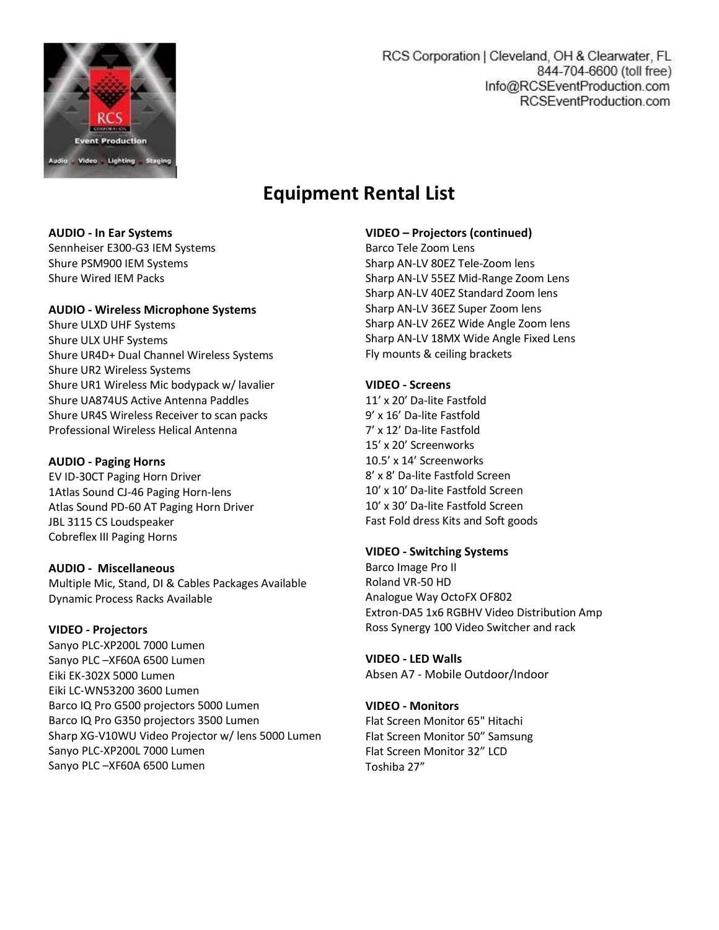

# **Equipment Rental List**

### **AUDIO - In Ear Systems**

Sennheiser E300-G3 IEM Systems Shure PSM900 IEM Systems Shure Wired IEM Packs

# **AUDIO - Wireless Microphone Systems**

Shure ULXD UHF Systems Shure ULX UHF Systems Shure UR4D+ Dual Channel Wireless Systems Shure UR2 Wireless Systems Shure UR1 Wireless Mic bodypack w/ lavalier Shure UA874US Active Antenna Paddles Shure UR4S Wireless Receiver to scan packs Professional Wireless Helical Antenna

### **AUDIO - Paging Horns**

EV ID-30CT Paging Horn Driver 1Atlas Sound CJ-46 Paging Horn-lens Atlas Sound PD-60 AT Paging Horn Driver JBL 3115 CS Loudspeaker Cobreflex III Paging Horns

### **AUDIO - Miscellaneous**

Multiple Mic, Stand, DI & Cables Packages Available Dynamic Process Racks Available

# **VIDEO - Projectors**

Sanyo PLC-XP200L 7000 Lumen Sanyo PLC –XF60A 6500 Lumen Eiki EK-302X 5000 Lumen Eiki LC-WN53200 3600 Lumen Barco IQ Pro G500 projectors 5000 Lumen Barco IQ Pro G350 projectors 3500 Lumen Sharp XG-V10WU Video Projector w/ lens 5000 Lumen Sanyo PLC-XP200L 7000 Lumen Sanyo PLC –XF60A 6500 Lumen

### **VIDEO – Projectors (continued)**

Barco Tele Zoom Lens Sharp AN-LV 80EZ Tele-Zoom lens Sharp AN-LV 55EZ Mid-Range Zoom Lens Sharp AN-LV 40EZ Standard Zoom lens Sharp AN-LV 36EZ Super Zoom lens Sharp AN-LV 26EZ Wide Angle Zoom lens Sharp AN-LV 18MX Wide Angle Fixed Lens Fly mounts & ceiling brackets

### **VIDEO - Screens**

11' x 20' Da-lite Fastfold 9' x 16' Da-lite Fastfold 7' x 12' Da-lite Fastfold 15' x 20' Screenworks 10.5' x 14' Screenworks 8' x 8' Da-lite Fastfold Screen 10' x 10' Da-lite Fastfold Screen 10' x 30' Da-lite Fastfold Screen Fast Fold dress Kits and Soft goods

# **VIDEO - Switching Systems**

Barco Image Pro II Roland VR-50 HD Analogue Way OctoFX OF802 Extron-DA5 1x6 RGBHV Video Distribution Amp Ross Synergy 100 Video Switcher and rack

# **VIDEO - LED Walls**

Absen A7 - Mobile Outdoor/Indoor

# **VIDEO - Monitors**

Flat Screen Monitor 65" Hitachi Flat Screen Monitor 50" Samsung Flat Screen Monitor 32" LCD Toshiba 27"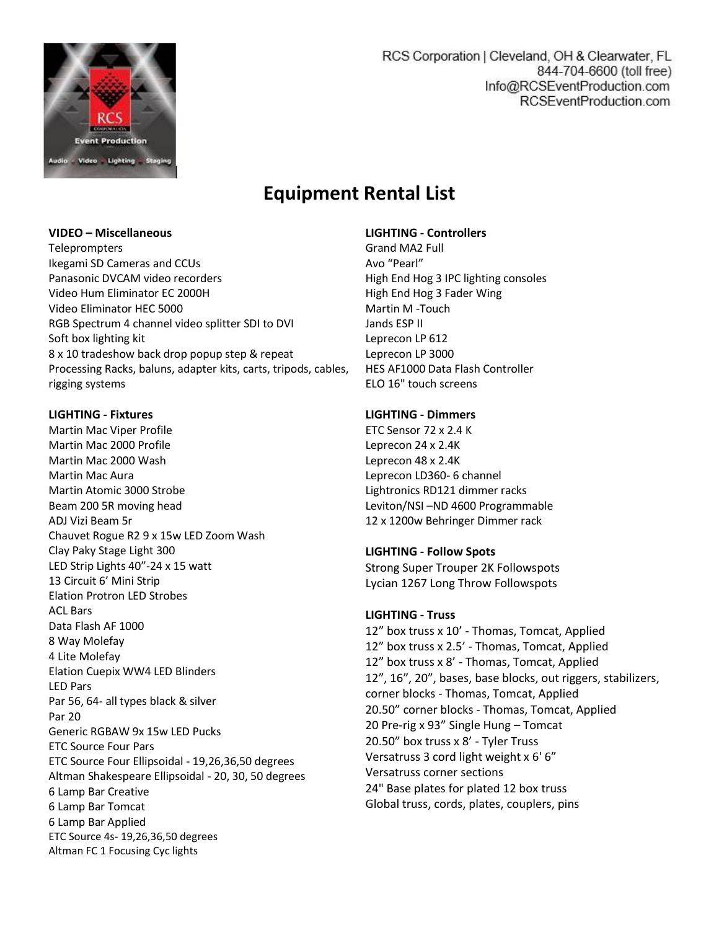

# **Equipment Rental List**

### **VIDEO – Miscellaneous**

Teleprompters Ikegami SD Cameras and CCUs Panasonic DVCAM video recorders Video Hum Eliminator EC 2000H Video Eliminator HEC 5000 RGB Spectrum 4 channel video splitter SDI to DVI Soft box lighting kit 8 x 10 tradeshow back drop popup step & repeat Processing Racks, baluns, adapter kits, carts, tripods, cables, rigging systems

#### **LIGHTING - Fixtures**

Martin Mac Viper Profile Martin Mac 2000 Profile Martin Mac 2000 Wash Martin Mac Aura Martin Atomic 3000 Strobe Beam 200 5R moving head ADJ Vizi Beam 5r Chauvet Rogue R2 9 x 15w LED Zoom Wash Clay Paky Stage Light 300 LED Strip Lights 40"-24 x 15 watt 13 Circuit 6' Mini Strip Elation Protron LED Strobes ACL Bars Data Flash AF 1000 8 Way Molefay 4 Lite Molefay Elation Cuepix WW4 LED Blinders LED Pars Par 56, 64- all types black & silver Par 20 Generic RGBAW 9x 15w LED Pucks ETC Source Four Pars ETC Source Four Ellipsoidal - 19,26,36,50 degrees Altman Shakespeare Ellipsoidal - 20, 30, 50 degrees 6 Lamp Bar Creative 6 Lamp Bar Tomcat 6 Lamp Bar Applied ETC Source 4s- 19,26,36,50 degrees Altman FC 1 Focusing Cyc lights

### **LIGHTING - Controllers**

Grand MA2 Full Avo "Pearl" High End Hog 3 IPC lighting consoles High End Hog 3 Fader Wing Martin M -Touch Jands ESP II Leprecon LP 612 Leprecon LP 3000 HES AF1000 Data Flash Controller ELO 16" touch screens

#### **LIGHTING - Dimmers**

ETC Sensor 72 x 2.4 K Leprecon 24 x 2.4K Leprecon 48 x 2.4K Leprecon LD360- 6 channel Lightronics RD121 dimmer racks Leviton/NSI –ND 4600 Programmable 12 x 1200w Behringer Dimmer rack

### **LIGHTING - Follow Spots**

Strong Super Trouper 2K Followspots Lycian 1267 Long Throw Followspots

### **LIGHTING - Truss**

12" box truss x 10' - Thomas, Tomcat, Applied 12" box truss x 2.5' - Thomas, Tomcat, Applied 12" box truss x 8' - Thomas, Tomcat, Applied 12", 16", 20", bases, base blocks, out riggers, stabilizers, corner blocks - Thomas, Tomcat, Applied 20.50" corner blocks - Thomas, Tomcat, Applied 20 Pre-rig x 93" Single Hung – Tomcat 20.50" box truss x 8' - Tyler Truss Versatruss 3 cord light weight x 6' 6" Versatruss corner sections 24" Base plates for plated 12 box truss Global truss, cords, plates, couplers, pins